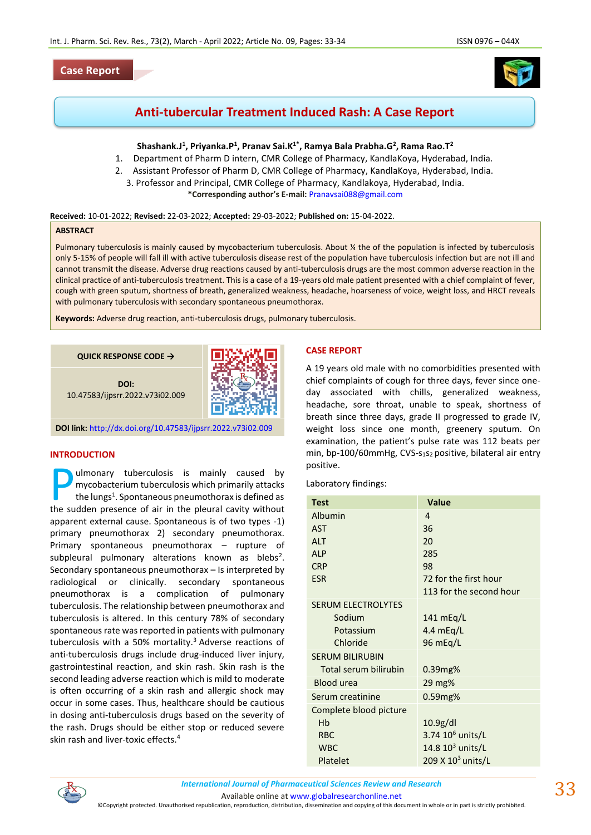## **Case Report**



# **Anti-tubercular Treatment Induced Rash: A Case Report**

# $Shashank.J<sup>1</sup>, Priyanka.P<sup>1</sup>, Pranav Sai.K<sup>1*</sup>, Ramya Bala Prabha.G<sup>2</sup>, Rama Rao.T<sup>2</sup>$

- 1. Department of Pharm D intern, CMR College of Pharmacy, KandlaKoya, Hyderabad, India.
- 2. Assistant Professor of Pharm D, CMR College of Pharmacy, KandlaKoya, Hyderabad, India.
	- 3. Professor and Principal, CMR College of Pharmacy, Kandlakoya, Hyderabad, India. **\*Corresponding author's E-mail:** [Pranavsai088@gmail.com](mailto:Pranavsai088@gmail.com)

#### **Received:** 10-01-2022; **Revised:** 22-03-2022; **Accepted:** 29-03-2022; **Published on:** 15-04-2022.

#### **ABSTRACT**

Pulmonary tuberculosis is mainly caused by mycobacterium tuberculosis. About ¼ the of the population is infected by tuberculosis only 5-15% of people will fall ill with active tuberculosis disease rest of the population have tuberculosis infection but are not ill and cannot transmit the disease. Adverse drug reactions caused by anti-tuberculosis drugs are the most common adverse reaction in the clinical practice of anti-tuberculosis treatment. This is a case of a 19-years old male patient presented with a chief complaint of fever, cough with green sputum, shortness of breath, generalized weakness, headache, hoarseness of voice, weight loss, and HRCT reveals with pulmonary tuberculosis with secondary spontaneous pneumothorax.

**Keywords:** Adverse drug reaction, anti-tuberculosis drugs, pulmonary tuberculosis.



**DOI:** 10.47583/ijpsrr.2022.v73i02.009



**DOI link:** <http://dx.doi.org/10.47583/ijpsrr.2022.v73i02.009>

## **INTRODUCTION**

ulmonary tuberculosis is mainly caused by mycobacterium tuberculosis which primarily attacks the lungs<sup>1</sup>. Spontaneous pneumothorax is defined as **D** ulmonary tuberculosis is mainly caused by mycobacterium tuberculosis which primarily attacks the lungs<sup>1</sup>. Spontaneous pneumothorax is defined as the sudden presence of air in the pleural cavity without apparent external cause. Spontaneous is of two types -1) primary pneumothorax 2) secondary pneumothorax. Primary spontaneous pneumothorax – rupture of subpleural pulmonary alterations known as blebs<sup>2</sup>. Secondary spontaneous pneumothorax – Is interpreted by radiological or clinically. secondary spontaneous pneumothorax is a complication of pulmonary tuberculosis. The relationship between pneumothorax and tuberculosis is altered. In this century 78% of secondary spontaneous rate was reported in patients with pulmonary tuberculosis with a 50% mortality.<sup>3</sup> Adverse reactions of anti-tuberculosis drugs include drug-induced liver injury, gastrointestinal reaction, and skin rash. Skin rash is the second leading adverse reaction which is mild to moderate is often occurring of a skin rash and allergic shock may occur in some cases. Thus, healthcare should be cautious in dosing anti-tuberculosis drugs based on the severity of the rash. Drugs should be either stop or reduced severe skin rash and liver-toxic effects.<sup>4</sup>

### **CASE REPORT**

A 19 years old male with no comorbidities presented with chief complaints of cough for three days, fever since oneday associated with chills, generalized weakness, headache, sore throat, unable to speak, shortness of breath since three days, grade II progressed to grade IV, weight loss since one month, greenery sputum. On examination, the patient's pulse rate was 112 beats per min, bp-100/60mmHg, CVS-s1s2 positive, bilateral air entry positive.

Laboratory findings:

| <b>Test</b>               | Value                   |
|---------------------------|-------------------------|
| Albumin                   | 4                       |
| <b>AST</b>                | 36                      |
| AIT                       | 20                      |
| AI P                      | 285                     |
| <b>CRP</b>                | 98                      |
| <b>ESR</b>                | 72 for the first hour   |
|                           | 113 for the second hour |
| <b>SERUM ELECTROLYTES</b> |                         |
| Sodium                    | 141 mEg/L               |
| Potassium                 | 4.4 $mEq/L$             |
| Chloride                  | $96 \text{ mEq/L}$      |
| <b>SERUM BILIRUBIN</b>    |                         |
| Total serum bilirubin     | 0.39mg%                 |
| <b>Blood urea</b>         | 29 mg%                  |
| Serum creatinine          | 0.59mg%                 |
| Complete blood picture    |                         |
| Hb                        | 10.9g/dl                |
| <b>RBC</b>                | 3.74 $10^6$ units/L     |
| <b>WBC</b>                | 14.8 $10^3$ units/L     |
| Platelet                  | 209 X $10^3$ units/L    |



*International Journal of Pharmaceutical Sciences Review and Research International Journal of Pharmaceutical Sciences Review and Research*

Available online a[t www.globalresearchonline.net](http://www.globalresearchonline.net/)